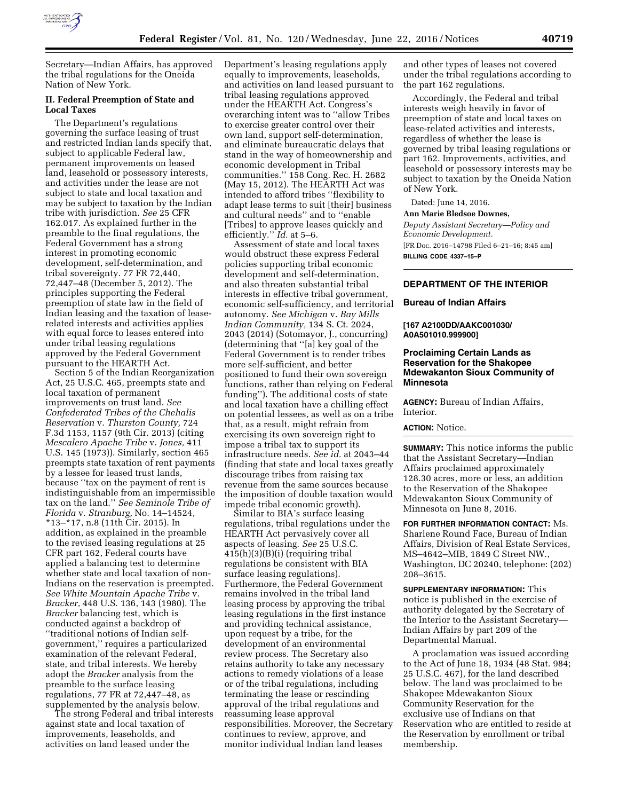

Secretary—Indian Affairs, has approved the tribal regulations for the Oneida Nation of New York.

# **II. Federal Preemption of State and Local Taxes**

The Department's regulations governing the surface leasing of trust and restricted Indian lands specify that, subject to applicable Federal law, permanent improvements on leased land, leasehold or possessory interests, and activities under the lease are not subject to state and local taxation and may be subject to taxation by the Indian tribe with jurisdiction. *See* 25 CFR 162.017. As explained further in the preamble to the final regulations, the Federal Government has a strong interest in promoting economic development, self-determination, and tribal sovereignty. 77 FR 72,440, 72,447–48 (December 5, 2012). The principles supporting the Federal preemption of state law in the field of Indian leasing and the taxation of leaserelated interests and activities applies with equal force to leases entered into under tribal leasing regulations approved by the Federal Government pursuant to the HEARTH Act.

Section 5 of the Indian Reorganization Act, 25 U.S.C. 465, preempts state and local taxation of permanent improvements on trust land. *See Confederated Tribes of the Chehalis Reservation* v. *Thurston County,* 724 F.3d 1153, 1157 (9th Cir. 2013) (citing *Mescalero Apache Tribe* v. *Jones,* 411 U.S. 145 (1973)). Similarly, section 465 preempts state taxation of rent payments by a lessee for leased trust lands, because ''tax on the payment of rent is indistinguishable from an impermissible tax on the land.'' *See Seminole Tribe of Florida* v. *Stranburg,* No. 14–14524, \*13–\*17, n.8 (11th Cir. 2015). In addition, as explained in the preamble to the revised leasing regulations at 25 CFR part 162, Federal courts have applied a balancing test to determine whether state and local taxation of non-Indians on the reservation is preempted. *See White Mountain Apache Tribe* v. *Bracker,* 448 U.S. 136, 143 (1980). The *Bracker* balancing test, which is conducted against a backdrop of ''traditional notions of Indian selfgovernment,'' requires a particularized examination of the relevant Federal, state, and tribal interests. We hereby adopt the *Bracker* analysis from the preamble to the surface leasing regulations, 77 FR at 72,447–48, as supplemented by the analysis below.

The strong Federal and tribal interests against state and local taxation of improvements, leaseholds, and activities on land leased under the

Department's leasing regulations apply equally to improvements, leaseholds, and activities on land leased pursuant to tribal leasing regulations approved under the HEARTH Act. Congress's overarching intent was to ''allow Tribes to exercise greater control over their own land, support self-determination, and eliminate bureaucratic delays that stand in the way of homeownership and economic development in Tribal communities.'' 158 Cong. Rec. H. 2682 (May 15, 2012). The HEARTH Act was intended to afford tribes ''flexibility to adapt lease terms to suit [their] business and cultural needs'' and to ''enable [Tribes] to approve leases quickly and efficiently.'' *Id.* at 5–6.

Assessment of state and local taxes would obstruct these express Federal policies supporting tribal economic development and self-determination, and also threaten substantial tribal interests in effective tribal government, economic self-sufficiency, and territorial autonomy. *See Michigan* v. *Bay Mills Indian Community,* 134 S. Ct. 2024, 2043 (2014) (Sotomayor, J., concurring) (determining that ''[a] key goal of the Federal Government is to render tribes more self-sufficient, and better positioned to fund their own sovereign functions, rather than relying on Federal funding''). The additional costs of state and local taxation have a chilling effect on potential lessees, as well as on a tribe that, as a result, might refrain from exercising its own sovereign right to impose a tribal tax to support its infrastructure needs. *See id.* at 2043–44 (finding that state and local taxes greatly discourage tribes from raising tax revenue from the same sources because the imposition of double taxation would impede tribal economic growth).

Similar to BIA's surface leasing regulations, tribal regulations under the HEARTH Act pervasively cover all aspects of leasing. *See* 25 U.S.C. 415(h)(3)(B)(i) (requiring tribal regulations be consistent with BIA surface leasing regulations). Furthermore, the Federal Government remains involved in the tribal land leasing process by approving the tribal leasing regulations in the first instance and providing technical assistance, upon request by a tribe, for the development of an environmental review process. The Secretary also retains authority to take any necessary actions to remedy violations of a lease or of the tribal regulations, including terminating the lease or rescinding approval of the tribal regulations and reassuming lease approval responsibilities. Moreover, the Secretary continues to review, approve, and monitor individual Indian land leases

and other types of leases not covered under the tribal regulations according to the part 162 regulations.

Accordingly, the Federal and tribal interests weigh heavily in favor of preemption of state and local taxes on lease-related activities and interests, regardless of whether the lease is governed by tribal leasing regulations or part 162. Improvements, activities, and leasehold or possessory interests may be subject to taxation by the Oneida Nation of New York.

Dated: June 14, 2016.

#### **Ann Marie Bledsoe Downes,**

*Deputy Assistant Secretary—Policy and Economic Development.*  [FR Doc. 2016–14798 Filed 6–21–16; 8:45 am] **BILLING CODE 4337–15–P** 

### **DEPARTMENT OF THE INTERIOR**

#### **Bureau of Indian Affairs**

#### **[167 A2100DD/AAKC001030/ A0A501010.999900]**

## **Proclaiming Certain Lands as Reservation for the Shakopee Mdewakanton Sioux Community of Minnesota**

**AGENCY:** Bureau of Indian Affairs, Interior.

#### **ACTION:** Notice.

**SUMMARY:** This notice informs the public that the Assistant Secretary—Indian Affairs proclaimed approximately 128.30 acres, more or less, an addition to the Reservation of the Shakopee Mdewakanton Sioux Community of Minnesota on June 8, 2016.

**FOR FURTHER INFORMATION CONTACT:** Ms. Sharlene Round Face, Bureau of Indian Affairs, Division of Real Estate Services, MS–4642–MIB, 1849 C Street NW., Washington, DC 20240, telephone: (202) 208–3615.

**SUPPLEMENTARY INFORMATION:** This notice is published in the exercise of authority delegated by the Secretary of the Interior to the Assistant Secretary— Indian Affairs by part 209 of the Departmental Manual.

A proclamation was issued according to the Act of June 18, 1934 (48 Stat. 984; 25 U.S.C. 467), for the land described below. The land was proclaimed to be Shakopee Mdewakanton Sioux Community Reservation for the exclusive use of Indians on that Reservation who are entitled to reside at the Reservation by enrollment or tribal membership.